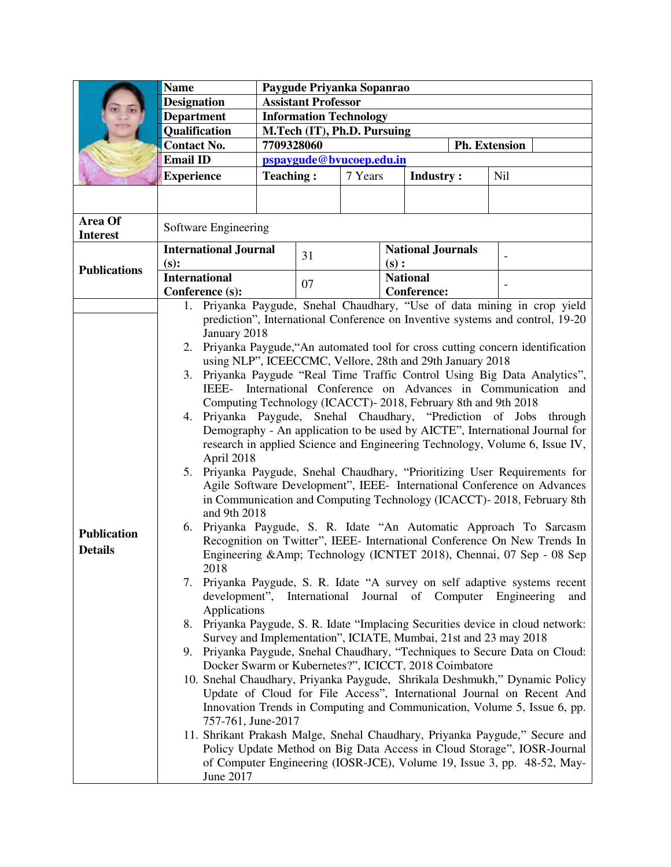|                            | <b>Name</b>                                                                                                                                                     | Paygude Priyanka Sopanrao                                               |    |         |                          |                         |  |                      |                                                                               |  |  |
|----------------------------|-----------------------------------------------------------------------------------------------------------------------------------------------------------------|-------------------------------------------------------------------------|----|---------|--------------------------|-------------------------|--|----------------------|-------------------------------------------------------------------------------|--|--|
|                            | <b>Designation</b>                                                                                                                                              | <b>Assistant Professor</b>                                              |    |         |                          |                         |  |                      |                                                                               |  |  |
|                            | <b>Department</b>                                                                                                                                               | <b>Information Technology</b>                                           |    |         |                          |                         |  |                      |                                                                               |  |  |
|                            | Qualification                                                                                                                                                   | M.Tech (IT), Ph.D. Pursuing                                             |    |         |                          |                         |  |                      |                                                                               |  |  |
|                            | <b>Contact No.</b>                                                                                                                                              | 7709328060                                                              |    |         |                          |                         |  | <b>Ph. Extension</b> |                                                                               |  |  |
|                            | <b>Email ID</b>                                                                                                                                                 | pspaygude@bvucoep.edu.in                                                |    |         |                          |                         |  |                      |                                                                               |  |  |
|                            | <b>Experience</b>                                                                                                                                               | <b>Teaching:</b>                                                        |    | 7 Years |                          | <b>Industry:</b>        |  | <b>Nil</b>           |                                                                               |  |  |
|                            |                                                                                                                                                                 |                                                                         |    |         |                          |                         |  |                      |                                                                               |  |  |
| Area Of<br><b>Interest</b> | Software Engineering                                                                                                                                            |                                                                         |    |         |                          |                         |  |                      |                                                                               |  |  |
|                            | <b>International Journal</b>                                                                                                                                    |                                                                         | 31 |         | <b>National Journals</b> |                         |  |                      |                                                                               |  |  |
| <b>Publications</b>        | (s):<br><b>International</b>                                                                                                                                    |                                                                         |    |         |                          | (s):<br><b>National</b> |  |                      |                                                                               |  |  |
|                            | Conference (s):                                                                                                                                                 |                                                                         | 07 |         |                          | <b>Conference:</b>      |  | $\overline{a}$       |                                                                               |  |  |
|                            |                                                                                                                                                                 |                                                                         |    |         |                          |                         |  |                      | Priyanka Paygude, Snehal Chaudhary, "Use of data mining in crop yield         |  |  |
|                            |                                                                                                                                                                 |                                                                         |    |         |                          |                         |  |                      |                                                                               |  |  |
|                            | prediction", International Conference on Inventive systems and control, 19-20<br>January 2018                                                                   |                                                                         |    |         |                          |                         |  |                      |                                                                               |  |  |
|                            | 2.                                                                                                                                                              |                                                                         |    |         |                          |                         |  |                      | Priyanka Paygude, "An automated tool for cross cutting concern identification |  |  |
|                            | using NLP", ICEECCMC, Vellore, 28th and 29th January 2018                                                                                                       |                                                                         |    |         |                          |                         |  |                      |                                                                               |  |  |
|                            | 3.                                                                                                                                                              |                                                                         |    |         |                          |                         |  |                      |                                                                               |  |  |
|                            | Priyanka Paygude "Real Time Traffic Control Using Big Data Analytics",<br>IEEE- International Conference on Advances in Communication and                       |                                                                         |    |         |                          |                         |  |                      |                                                                               |  |  |
|                            | Computing Technology (ICACCT)-2018, February 8th and 9th 2018                                                                                                   |                                                                         |    |         |                          |                         |  |                      |                                                                               |  |  |
|                            | 4.                                                                                                                                                              |                                                                         |    |         |                          |                         |  |                      | through                                                                       |  |  |
|                            | Priyanka Paygude, Snehal Chaudhary, "Prediction of Jobs<br>Demography - An application to be used by AICTE", International Journal for                          |                                                                         |    |         |                          |                         |  |                      |                                                                               |  |  |
|                            | research in applied Science and Engineering Technology, Volume 6, Issue IV,                                                                                     |                                                                         |    |         |                          |                         |  |                      |                                                                               |  |  |
|                            | April 2018                                                                                                                                                      |                                                                         |    |         |                          |                         |  |                      |                                                                               |  |  |
|                            | 5. Priyanka Paygude, Snehal Chaudhary, "Prioritizing User Requirements for                                                                                      |                                                                         |    |         |                          |                         |  |                      |                                                                               |  |  |
|                            |                                                                                                                                                                 | Agile Software Development", IEEE- International Conference on Advances |    |         |                          |                         |  |                      |                                                                               |  |  |
|                            | in Communication and Computing Technology (ICACCT)-2018, February 8th<br>and 9th 2018                                                                           |                                                                         |    |         |                          |                         |  |                      |                                                                               |  |  |
|                            | Priyanka Paygude, S. R. Idate "An Automatic Approach To Sarcasm<br>6.                                                                                           |                                                                         |    |         |                          |                         |  |                      |                                                                               |  |  |
| <b>Publication</b>         | Recognition on Twitter", IEEE- International Conference On New Trends In                                                                                        |                                                                         |    |         |                          |                         |  |                      |                                                                               |  |  |
| <b>Details</b>             | Engineering &Amp Technology (ICNTET 2018), Chennai, 07 Sep - 08 Sep                                                                                             |                                                                         |    |         |                          |                         |  |                      |                                                                               |  |  |
|                            | 2018<br>Priyanka Paygude, S. R. Idate "A survey on self adaptive systems recent                                                                                 |                                                                         |    |         |                          |                         |  |                      |                                                                               |  |  |
|                            | 7.                                                                                                                                                              |                                                                         |    |         |                          |                         |  |                      |                                                                               |  |  |
|                            | development", International Journal of Computer Engineering<br>and<br>Applications                                                                              |                                                                         |    |         |                          |                         |  |                      |                                                                               |  |  |
|                            |                                                                                                                                                                 |                                                                         |    |         |                          |                         |  |                      |                                                                               |  |  |
|                            | 8. Priyanka Paygude, S. R. Idate "Implacing Securities device in cloud network:<br>Survey and Implementation", ICIATE, Mumbai, 21st and 23 may 2018             |                                                                         |    |         |                          |                         |  |                      |                                                                               |  |  |
|                            | 9. Priyanka Paygude, Snehal Chaudhary, "Techniques to Secure Data on Cloud:                                                                                     |                                                                         |    |         |                          |                         |  |                      |                                                                               |  |  |
|                            | Docker Swarm or Kubernetes?", ICICCT, 2018 Coimbatore                                                                                                           |                                                                         |    |         |                          |                         |  |                      |                                                                               |  |  |
|                            | 10. Snehal Chaudhary, Priyanka Paygude, Shrikala Deshmukh," Dynamic Policy                                                                                      |                                                                         |    |         |                          |                         |  |                      |                                                                               |  |  |
|                            |                                                                                                                                                                 |                                                                         |    |         |                          |                         |  |                      | Update of Cloud for File Access", International Journal on Recent And         |  |  |
|                            |                                                                                                                                                                 |                                                                         |    |         |                          |                         |  |                      | Innovation Trends in Computing and Communication, Volume 5, Issue 6, pp.      |  |  |
|                            | 757-761, June-2017                                                                                                                                              |                                                                         |    |         |                          |                         |  |                      |                                                                               |  |  |
|                            | 11. Shrikant Prakash Malge, Snehal Chaudhary, Priyanka Paygude," Secure and                                                                                     |                                                                         |    |         |                          |                         |  |                      |                                                                               |  |  |
|                            | Policy Update Method on Big Data Access in Cloud Storage", IOSR-Journal<br>of Computer Engineering (IOSR-JCE), Volume 19, Issue 3, pp. 48-52, May-<br>June 2017 |                                                                         |    |         |                          |                         |  |                      |                                                                               |  |  |
|                            |                                                                                                                                                                 |                                                                         |    |         |                          |                         |  |                      |                                                                               |  |  |
|                            |                                                                                                                                                                 |                                                                         |    |         |                          |                         |  |                      |                                                                               |  |  |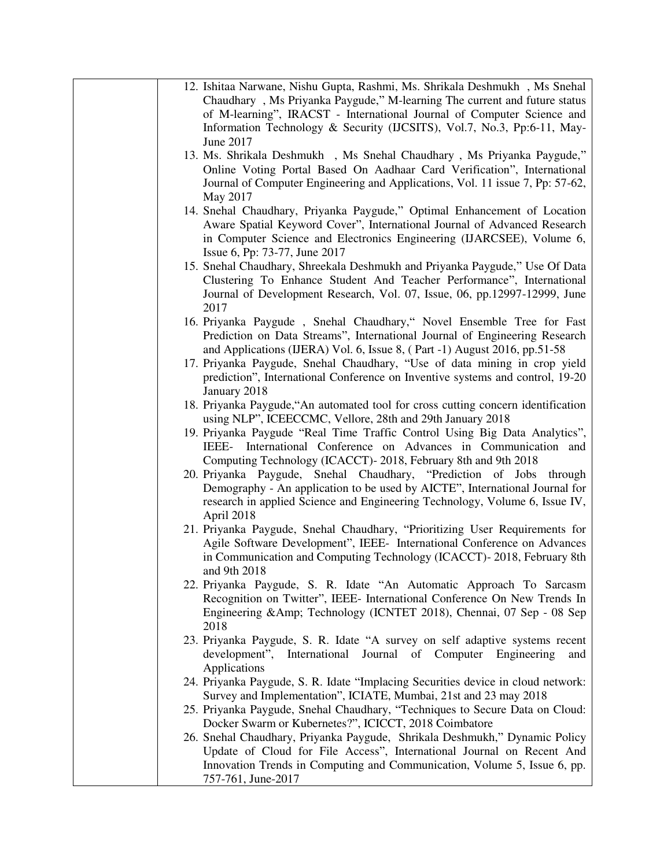| 12. Ishitaa Narwane, Nishu Gupta, Rashmi, Ms. Shrikala Deshmukh, Ms Snehal<br>Chaudhary, Ms Priyanka Paygude," M-learning The current and future status |
|---------------------------------------------------------------------------------------------------------------------------------------------------------|
| of M-learning", IRACST - International Journal of Computer Science and                                                                                  |
| Information Technology & Security (IJCSITS), Vol.7, No.3, Pp:6-11, May-<br>June 2017                                                                    |
| 13. Ms. Shrikala Deshmukh, Ms Snehal Chaudhary, Ms Priyanka Paygude,"                                                                                   |
| Online Voting Portal Based On Aadhaar Card Verification", International                                                                                 |
| Journal of Computer Engineering and Applications, Vol. 11 issue 7, Pp: 57-62,                                                                           |
| May 2017                                                                                                                                                |
| 14. Snehal Chaudhary, Priyanka Paygude," Optimal Enhancement of Location                                                                                |
| Aware Spatial Keyword Cover", International Journal of Advanced Research                                                                                |
| in Computer Science and Electronics Engineering (IJARCSEE), Volume 6,                                                                                   |
| Issue 6, Pp: 73-77, June 2017                                                                                                                           |
| 15. Snehal Chaudhary, Shreekala Deshmukh and Priyanka Paygude," Use Of Data                                                                             |
| Clustering To Enhance Student And Teacher Performance", International                                                                                   |
| Journal of Development Research, Vol. 07, Issue, 06, pp.12997-12999, June<br>2017                                                                       |
| 16. Priyanka Paygude, Snehal Chaudhary," Novel Ensemble Tree for Fast                                                                                   |
| Prediction on Data Streams", International Journal of Engineering Research                                                                              |
| and Applications (IJERA) Vol. 6, Issue 8, (Part -1) August 2016, pp.51-58                                                                               |
| 17. Priyanka Paygude, Snehal Chaudhary, "Use of data mining in crop yield                                                                               |
| prediction", International Conference on Inventive systems and control, 19-20                                                                           |
| January 2018<br>18. Priyanka Paygude, "An automated tool for cross cutting concern identification                                                       |
| using NLP", ICEECCMC, Vellore, 28th and 29th January 2018                                                                                               |
| 19. Priyanka Paygude "Real Time Traffic Control Using Big Data Analytics",                                                                              |
| IEEE- International Conference on Advances in Communication and                                                                                         |
| Computing Technology (ICACCT) - 2018, February 8th and 9th 2018                                                                                         |
| 20. Priyanka Paygude, Snehal Chaudhary, "Prediction of Jobs through                                                                                     |
| Demography - An application to be used by AICTE", International Journal for                                                                             |
| research in applied Science and Engineering Technology, Volume 6, Issue IV,                                                                             |
| April 2018                                                                                                                                              |
| 21. Priyanka Paygude, Snehal Chaudhary, "Prioritizing User Requirements for                                                                             |
| Agile Software Development", IEEE- International Conference on Advances                                                                                 |
| in Communication and Computing Technology (ICACCT)-2018, February 8th                                                                                   |
| and 9th 2018                                                                                                                                            |
| 22. Priyanka Paygude, S. R. Idate "An Automatic Approach To Sarcasm                                                                                     |
| Recognition on Twitter", IEEE- International Conference On New Trends In                                                                                |
| Engineering &Amp Technology (ICNTET 2018), Chennai, 07 Sep - 08 Sep<br>2018                                                                             |
| 23. Priyanka Paygude, S. R. Idate "A survey on self adaptive systems recent                                                                             |
| development", International Journal of Computer Engineering<br>and                                                                                      |
| Applications                                                                                                                                            |
| 24. Priyanka Paygude, S. R. Idate "Implacing Securities device in cloud network:                                                                        |
| Survey and Implementation", ICIATE, Mumbai, 21st and 23 may 2018                                                                                        |
| 25. Priyanka Paygude, Snehal Chaudhary, "Techniques to Secure Data on Cloud:                                                                            |
| Docker Swarm or Kubernetes?", ICICCT, 2018 Coimbatore                                                                                                   |
| 26. Snehal Chaudhary, Priyanka Paygude, Shrikala Deshmukh," Dynamic Policy                                                                              |
| Update of Cloud for File Access", International Journal on Recent And                                                                                   |
| Innovation Trends in Computing and Communication, Volume 5, Issue 6, pp.                                                                                |
| 757-761, June-2017                                                                                                                                      |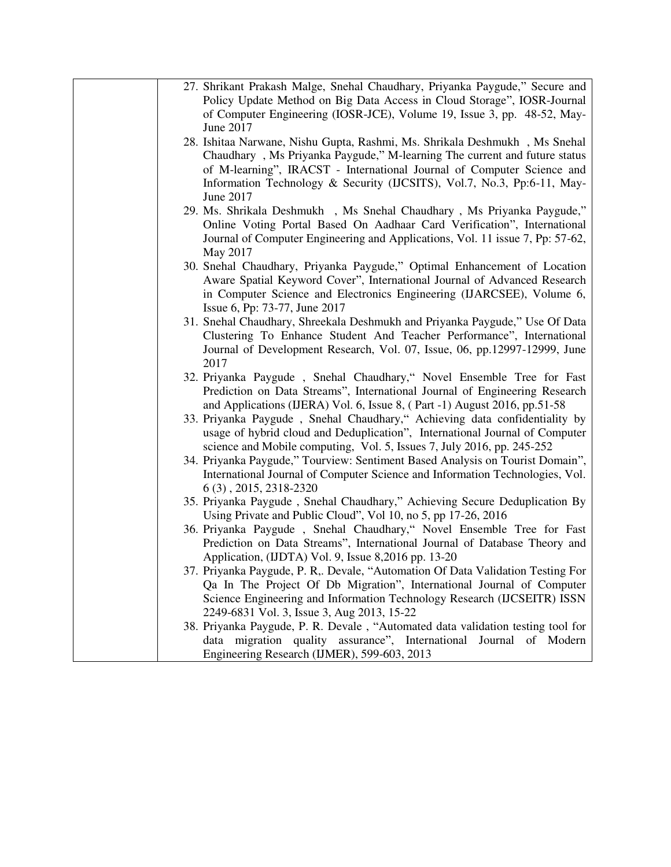| 27. Shrikant Prakash Malge, Snehal Chaudhary, Priyanka Paygude," Secure and                                                                                 |
|-------------------------------------------------------------------------------------------------------------------------------------------------------------|
| Policy Update Method on Big Data Access in Cloud Storage", IOSR-Journal                                                                                     |
| of Computer Engineering (IOSR-JCE), Volume 19, Issue 3, pp. 48-52, May-                                                                                     |
| June 2017                                                                                                                                                   |
| 28. Ishitaa Narwane, Nishu Gupta, Rashmi, Ms. Shrikala Deshmukh, Ms Snehal                                                                                  |
| Chaudhary, Ms Priyanka Paygude," M-learning The current and future status                                                                                   |
| of M-learning", IRACST - International Journal of Computer Science and                                                                                      |
| Information Technology & Security (IJCSITS), Vol.7, No.3, Pp:6-11, May-                                                                                     |
| June 2017                                                                                                                                                   |
| 29. Ms. Shrikala Deshmukh, Ms Snehal Chaudhary, Ms Priyanka Paygude,"                                                                                       |
| Online Voting Portal Based On Aadhaar Card Verification", International                                                                                     |
| Journal of Computer Engineering and Applications, Vol. 11 issue 7, Pp: 57-62,                                                                               |
| May 2017                                                                                                                                                    |
| 30. Snehal Chaudhary, Priyanka Paygude," Optimal Enhancement of Location                                                                                    |
| Aware Spatial Keyword Cover", International Journal of Advanced Research                                                                                    |
| in Computer Science and Electronics Engineering (IJARCSEE), Volume 6,                                                                                       |
| Issue 6, Pp: 73-77, June 2017                                                                                                                               |
| 31. Snehal Chaudhary, Shreekala Deshmukh and Priyanka Paygude," Use Of Data                                                                                 |
| Clustering To Enhance Student And Teacher Performance", International                                                                                       |
| Journal of Development Research, Vol. 07, Issue, 06, pp.12997-12999, June                                                                                   |
| 2017                                                                                                                                                        |
| 32. Priyanka Paygude, Snehal Chaudhary," Novel Ensemble Tree for Fast                                                                                       |
| Prediction on Data Streams", International Journal of Engineering Research                                                                                  |
| and Applications (IJERA) Vol. 6, Issue 8, (Part -1) August 2016, pp.51-58                                                                                   |
| 33. Priyanka Paygude, Snehal Chaudhary," Achieving data confidentiality by                                                                                  |
| usage of hybrid cloud and Deduplication", International Journal of Computer                                                                                 |
| science and Mobile computing, Vol. 5, Issues 7, July 2016, pp. 245-252                                                                                      |
| 34. Priyanka Paygude," Tourview: Sentiment Based Analysis on Tourist Domain",                                                                               |
| International Journal of Computer Science and Information Technologies, Vol.                                                                                |
| 6 (3), 2015, 2318-2320                                                                                                                                      |
| 35. Priyanka Paygude, Snehal Chaudhary," Achieving Secure Deduplication By                                                                                  |
| Using Private and Public Cloud", Vol 10, no 5, pp 17-26, 2016                                                                                               |
| 36. Priyanka Paygude, Snehal Chaudhary," Novel Ensemble Tree for Fast                                                                                       |
| Prediction on Data Streams", International Journal of Database Theory and                                                                                   |
| Application, (IJDTA) Vol. 9, Issue 8,2016 pp. 13-20                                                                                                         |
| 37. Priyanka Paygude, P. R,. Devale, "Automation Of Data Validation Testing For                                                                             |
| Qa In The Project Of Db Migration", International Journal of Computer                                                                                       |
| Science Engineering and Information Technology Research (IJCSEITR) ISSN                                                                                     |
| 2249-6831 Vol. 3, Issue 3, Aug 2013, 15-22                                                                                                                  |
| 38. Priyanka Paygude, P. R. Devale, "Automated data validation testing tool for<br>data migration quality assurance", International<br>Journal<br>of Modern |
| Engineering Research (IJMER), 599-603, 2013                                                                                                                 |
|                                                                                                                                                             |